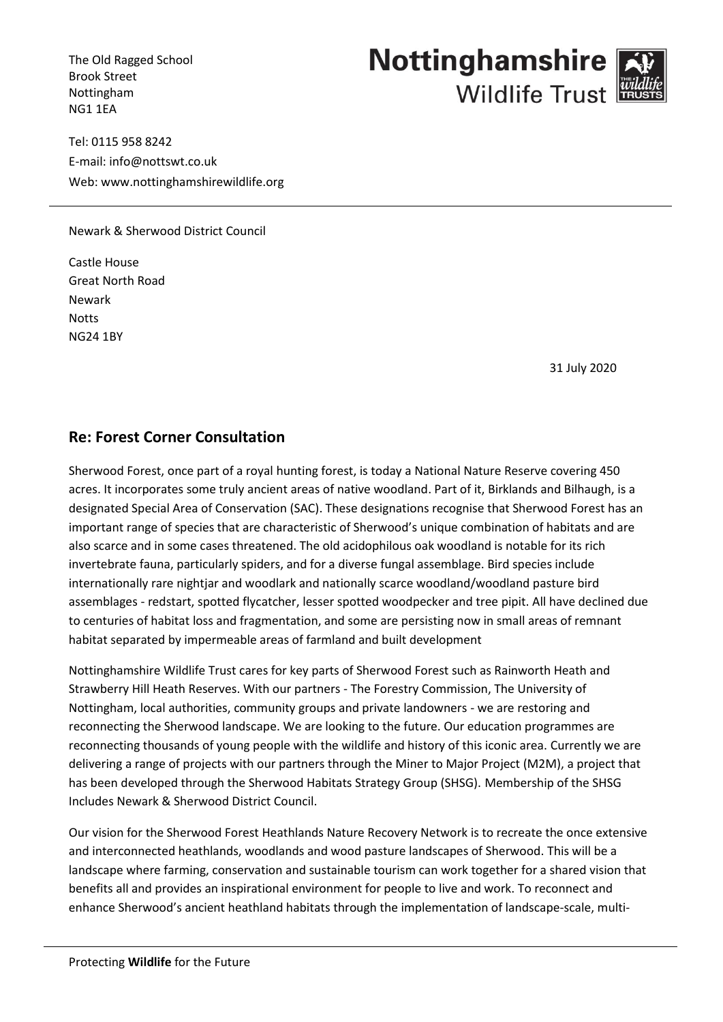The Old Ragged School Brook Street Nottingham NG1 1EA

Tel: 0115 958 8242 E-mail: info@nottswt.co.uk Web: www.nottinghamshirewildlife.org

Newark & Sherwood District Council

Castle House Great North Road Newark **Notts** NG24 1BY

31 July 2020

## **Re: Forest Corner Consultation**

Sherwood Forest, once part of a royal hunting forest, is today a National Nature Reserve covering 450 acres. It incorporates some truly ancient areas of native woodland. Part of it, Birklands and Bilhaugh, is a designated Special Area of Conservation (SAC). These designations recognise that Sherwood Forest has an important range of species that are characteristic of Sherwood's unique combination of habitats and are also scarce and in some cases threatened. The old acidophilous oak woodland is notable for its rich invertebrate fauna, particularly spiders, and for a diverse fungal assemblage. Bird species include internationally rare nightjar and woodlark and nationally scarce woodland/woodland pasture bird assemblages - redstart, spotted flycatcher, lesser spotted woodpecker and tree pipit. All have declined due to centuries of habitat loss and fragmentation, and some are persisting now in small areas of remnant habitat separated by impermeable areas of farmland and built development

Nottinghamshire Wildlife Trust cares for key parts of Sherwood Forest such as Rainworth Heath and Strawberry Hill Heath Reserves. With our partners - The Forestry Commission, The University of Nottingham, local authorities, community groups and private landowners - we are restoring and reconnecting the Sherwood landscape. We are looking to the future. Our education programmes are reconnecting thousands of young people with the wildlife and history of this iconic area. Currently we are delivering a range of projects with our partners through the Miner to Major Project (M2M), a project that has been developed through the Sherwood Habitats Strategy Group (SHSG). Membership of the SHSG Includes Newark & Sherwood District Council.

Our vision for the Sherwood Forest Heathlands Nature Recovery Network is to recreate the once extensive and interconnected heathlands, woodlands and wood pasture landscapes of Sherwood. This will be a landscape where farming, conservation and sustainable tourism can work together for a shared vision that benefits all and provides an inspirational environment for people to live and work. To reconnect and enhance Sherwood's ancient heathland habitats through the implementation of landscape-scale, multi-

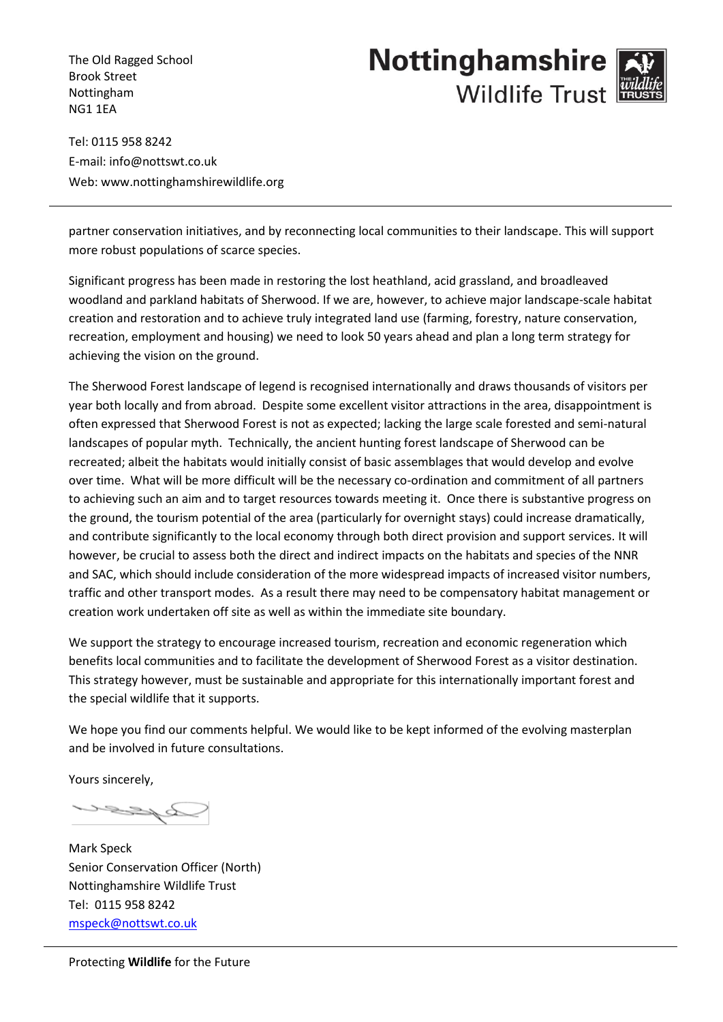The Old Ragged School Brook Street Nottingham NG1 1EA

## **Nottinghamshire Wildlife Trust**

Tel: 0115 958 8242 E-mail: info@nottswt.co.uk Web: www.nottinghamshirewildlife.org

partner conservation initiatives, and by reconnecting local communities to their landscape. This will support more robust populations of scarce species.

Significant progress has been made in restoring the lost heathland, acid grassland, and broadleaved woodland and parkland habitats of Sherwood. If we are, however, to achieve major landscape-scale habitat creation and restoration and to achieve truly integrated land use (farming, forestry, nature conservation, recreation, employment and housing) we need to look 50 years ahead and plan a long term strategy for achieving the vision on the ground.

The Sherwood Forest landscape of legend is recognised internationally and draws thousands of visitors per year both locally and from abroad. Despite some excellent visitor attractions in the area, disappointment is often expressed that Sherwood Forest is not as expected; lacking the large scale forested and semi-natural landscapes of popular myth. Technically, the ancient hunting forest landscape of Sherwood can be recreated; albeit the habitats would initially consist of basic assemblages that would develop and evolve over time. What will be more difficult will be the necessary co-ordination and commitment of all partners to achieving such an aim and to target resources towards meeting it. Once there is substantive progress on the ground, the tourism potential of the area (particularly for overnight stays) could increase dramatically, and contribute significantly to the local economy through both direct provision and support services. It will however, be crucial to assess both the direct and indirect impacts on the habitats and species of the NNR and SAC, which should include consideration of the more widespread impacts of increased visitor numbers, traffic and other transport modes. As a result there may need to be compensatory habitat management or creation work undertaken off site as well as within the immediate site boundary.

We support the strategy to encourage increased tourism, recreation and economic regeneration which benefits local communities and to facilitate the development of Sherwood Forest as a visitor destination. This strategy however, must be sustainable and appropriate for this internationally important forest and the special wildlife that it supports.

We hope you find our comments helpful. We would like to be kept informed of the evolving masterplan and be involved in future consultations.

Yours sincerely,

**Byzzu** 

Mark Speck Senior Conservation Officer (North) Nottinghamshire Wildlife Trust Tel: 0115 958 8242 [mspeck@nottswt.co.uk](mailto:mspeck@nottswt.co.uk)